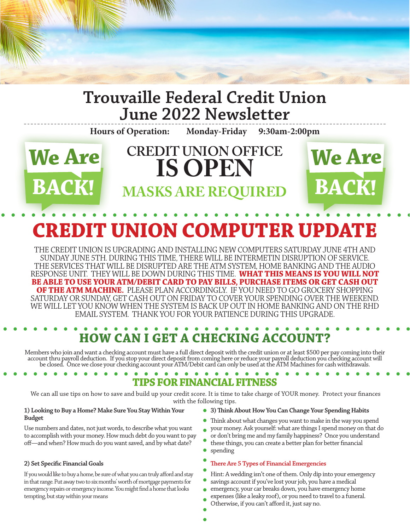

## **Trouvaille Federal Credit Union June 2022 Newsletter**

**Hours of Operation: Monday-Friday 9:30am-2:00pm**



# **CREDIT UNION OFFICE IS OPEN MASKS ARE REQUIRED**



# **CREDIT UNION COMPUTER UPDATE**

THE CREDIT UNION IS UPGRADING AND INSTALLING NEW COMPUTERS SATURDAY JUNE 4TH AND SUNDAY JUNE 5TH. DURING THIS TIME, THERE WILL BE INTERMETIN DISRUPTION OF SERVICE. THE SERVICES THAT WILL BE DISRUPTED ARE THE ATM SYSTEM, HOME BANKING AND THE AUDIO RESPONSE UNIT. THEY WILL BE DOWN DURING THIS TIME. **WHAT THIS MEANS IS YOU WILL NOT BE ABLE TO USE YOUR ATM/DEBIT CARD TO PAY BILLS, PURCHASE ITEMS OR GET CASH OUT OF THE ATM MACHINE.** PLEASE PLAN ACCORDINGLY. IF YOU NEED TO GO GROCERY SHOPPING SATURDAY OR SUNDAY, GET CASH OUT ON FRIDAY TO COVER YOUR SPENDING OVER THE WEEKEND. WE WILL LET YOU KNOW WHEN THE SYSTEM IS BACK UP OUT IN HOME BANKING AND ON THE RHD EMAIL SYSTEM. THANK YOU FOR YOUR PATIENCE DURING THIS UPGRADE.

# **HOW CAN I GET A CHECKING ACCOUNT?**

Members who join and want a checking account must have a full direct deposit with the credit union or at least \$500 per pay coming into their<br>account thru payroll deduction. If you stop your direct deposit from coming here be closed. Once we close your checking account your ATM/Debit card can only be used at the ATM Machines for cash withdrawals.

## **TIPS FOR FINANCIAL FITNESS**

 We can all use tips on how to save and build up your credit score. It is time to take charge of YOUR money. Protect your finances with the following tips.

#### **1) Looking to Buy a Home? Make Sure You Stay Within Your Budget**

Use numbers and dates, not just words, to describe what you want to accomplish with your money. How much debt do you want to pay off—and when? How much do you want saved, and by what date?

#### **2) Set Specific Financial Goals**

If you would like to buy a home, be sure of what you can truly afford and stay in that range. Put away two to six months' worth of mortgage payments for emergency repairs or emergency income. You might find a home that looks tempting, but stay within your means

#### **3) Think About How You Can Change Your Spending Habits**

- $\bullet$ Think about what changes you want to make in the way you spend your money. Ask yourself: what are things I spend money on that do  $\bullet$
- or don't bring me and my family happiness? Once you understand
- these things, you can create a better plan for better financial spending

#### **There Are 5 Types of Financial Emergencies**

- Hint: A wedding isn't one of them. Only dip into your emergency savings account if you've lost your job, you have a medical
- emergency, your car breaks down, you have emergency home
- expenses (like a leaky roof), or you need to travel to a funeral. Otherwise, if you can't afford it, just say no.
	-